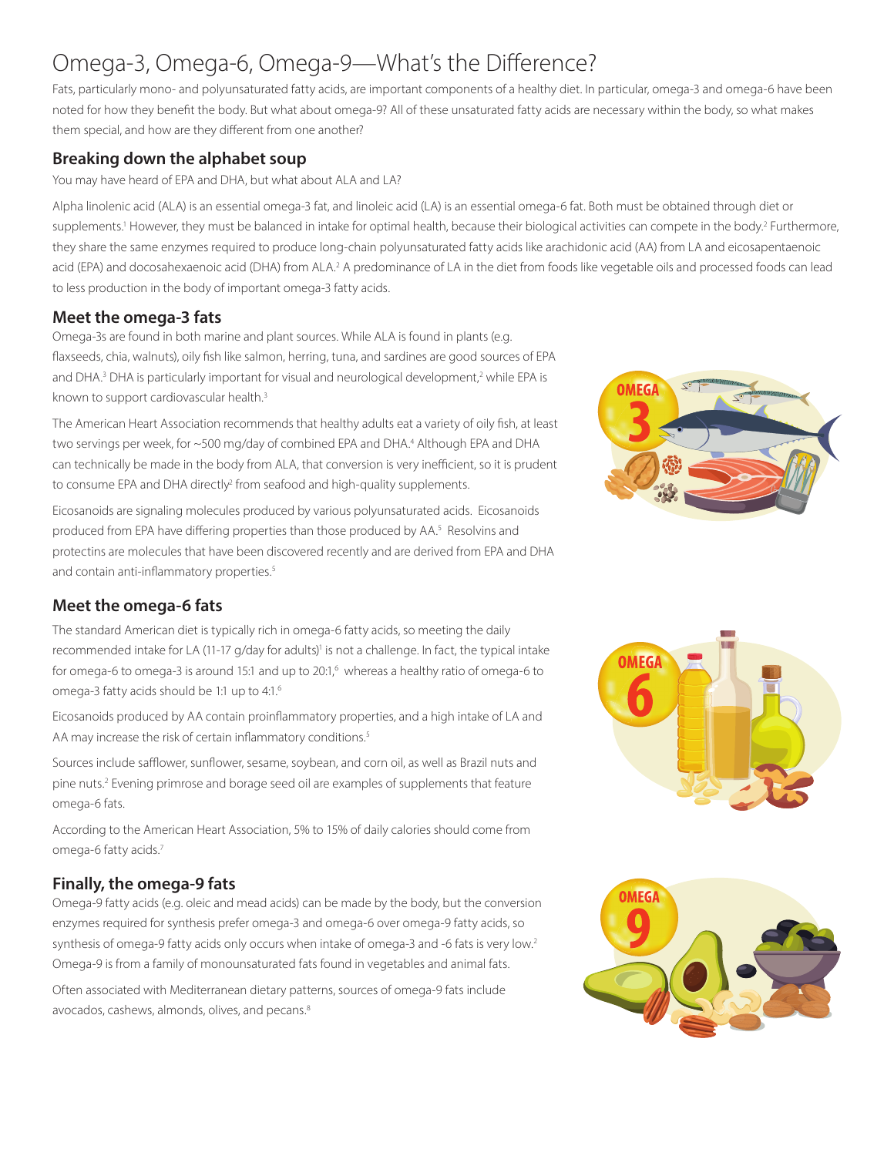# Omega-3, Omega-6, Omega-9—What's the Difference?

Fats, particularly mono- and polyunsaturated fatty acids, are important components of a healthy diet. In particular, omega-3 and omega-6 have been noted for how they benefit the body. But what about omega-9? All of these unsaturated fatty acids are necessary within the body, so what makes them special, and how are they different from one another?

#### **Breaking down the alphabet soup**

#### You may have heard of EPA and DHA, but what about ALA and LA?

Alpha linolenic acid (ALA) is an essential omega-3 fat, and linoleic acid (LA) is an essential omega-6 fat. Both must be obtained through diet or supplements.<sup>1</sup> However, they must be balanced in intake for optimal health, because their biological activities can compete in the body.<sup>2</sup> Furthermore, they share the same enzymes required to produce long-chain polyunsaturated fatty acids like arachidonic acid (AA) from LA and eicosapentaenoic acid (EPA) and docosahexaenoic acid (DHA) from ALA.<sup>2</sup> A predominance of LA in the diet from foods like vegetable oils and processed foods can lead to less production in the body of important omega-3 fatty acids.

#### **Meet the omega-3 fats**

Omega-3s are found in both marine and plant sources. While ALA is found in plants (e.g. flaxseeds, chia, walnuts), oily fish like salmon, herring, tuna, and sardines are good sources of EPA and DHA.<sup>3</sup> DHA is particularly important for visual and neurological development,<sup>2</sup> while EPA is known to support cardiovascular health.<sup>3</sup>

The American Heart Association recommends that healthy adults eat a variety of oily fish, at least two servings per week, for ~500 mg/day of combined EPA and DHA.<sup>4</sup> Although EPA and DHA can technically be made in the body from ALA, that conversion is very inefficient, so it is prudent to consume EPA and DHA directly<sup>2</sup> from seafood and high-quality supplements.

Eicosanoids are signaling molecules produced by various polyunsaturated acids. Eicosanoids produced from EPA have differing properties than those produced by AA.<sup>5</sup> Resolvins and protectins are molecules that have been discovered recently and are derived from EPA and DHA and contain anti-inflammatory properties.<sup>5</sup>



## **Meet the omega-6 fats**

The standard American diet is typically rich in omega-6 fatty acids, so meeting the daily recommended intake for LA (11-17 g/day for adults)<sup>1</sup> is not a challenge. In fact, the typical intake for omega-6 to omega-3 is around 15:1 and up to  $20:1$ , whereas a healthy ratio of omega-6 to omega-3 fatty acids should be 1:1 up to 4:1.6

Eicosanoids produced by AA contain proinflammatory properties, and a high intake of LA and AA may increase the risk of certain inflammatory conditions.<sup>5</sup>

Sources include safflower, sunflower, sesame, soybean, and corn oil, as well as Brazil nuts and pine nuts.<sup>2</sup> Evening primrose and borage seed oil are examples of supplements that feature omega-6 fats.

According to the American Heart Association, 5% to 15% of daily calories should come from omega-6 fatty acids.<sup>7</sup>

## **Finally, the omega-9 fats**

Omega-9 fatty acids (e.g. oleic and mead acids) can be made by the body, but the conversion enzymes required for synthesis prefer omega-3 and omega-6 over omega-9 fatty acids, so synthesis of omega-9 fatty acids only occurs when intake of omega-3 and -6 fats is very low.<sup>2</sup> Omega-9 is from a family of monounsaturated fats found in vegetables and animal fats.

Often associated with Mediterranean dietary patterns, sources of omega-9 fats include avocados, cashews, almonds, olives, and pecans.<sup>8</sup>